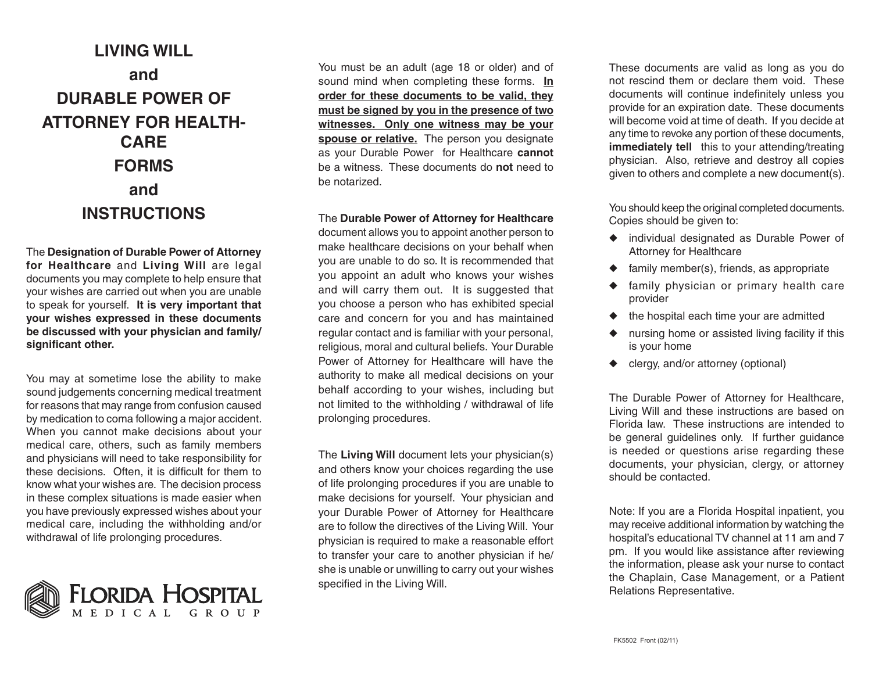## **LIVING WILL andDURABLE POWER OFATTORNEY FOR HEALTH-CAREFORMSandINSTRUCTIONS**

The **Designation of Durable Power of Attorney for Healthcare** and **Living Will** are legal documents you may complete to help ensure that your wishes are carried out when you are unable to speak for yourself. **It is very important that your wishes expressed in these documents be discussed with your physician and family/ significant other.**

You may at sometime lose the ability to make sound judgements concerning medical treatment for reasons that may range from confusion caused by medication to coma following a major accident. When you cannot make decisions about your medical care, others, such as family members and physicians will need to take responsibility for these decisions. Often, it is difficult for them to know what your wishes are. The decision process in these complex situations is made easier when you have previously expressed wishes about your medical care, including the withholding and/or withdrawal of life prolonging procedures.



You must be an adult (age 18 or older) and of sound mind when completing these forms. **In order for these documents to be valid, they must be signed by you in the presence of two witnesses. Only one witness may be your spouse or relative.** The person you designate as your Durable Power for Healthcare **cannot** be a witness. These documents do **not** need to be notarized.

The **Durable Power of Attorney for Healthcare**

document allows you to appoint another person to make healthcare decisions on your behalf when you are unable to do so. It is recommended that you appoint an adult who knows your wishes and will carry them out. It is suggested that you choose a person who has exhibited special care and concern for you and has maintained regular contact and is familiar with your personal, religious, moral and cultural beliefs. Your Durable Power of Attorney for Healthcare will have the authority to make all medical decisions on your behalf according to your wishes, including but not limited to the withholding / withdrawal of life prolonging procedures.

The **Living Will** document lets your physician(s) and others know your choices regarding the use of life prolonging procedures if you are unable to make decisions for yourself. Your physician and your Durable Power of Attorney for Healthcare are to follow the directives of the Living Will. Your physician is required to make a reasonable effort to transfer your care to another physician if he/ she is unable or unwilling to carry out your wishes specified in the Living Will.

These documents are valid as long as you do not rescind them or declare them void. These documents will continue indefinitely unless you provide for an expiration date. These documents will become void at time of death. If you decide at any time to revoke any portion of these documents, **immediately tell** this to your attending/treating physician. Also, retrieve and destroy all copies given to others and complete a new document(s).

You should keep the original completed documents. Copies should be given to:

- ◆ individual designated as Durable Power of Attorney for Healthcare
- $\triangleleft$  family member(s), friends, as appropriate
- ◆ family physician or primary health care provider
- ◆ the hospital each time your are admitted
- ◆ nursing home or assisted living facility if this is your home
- ◆ clergy, and/or attorney (optional)

The Durable Power of Attorney for Healthcare, Living Will and these instructions are based on Florida law. These instructions are intended to be general guidelines only. If further guidance is needed or questions arise regarding these documents, your physician, clergy, or attorney should be contacted.

Note: If you are a Florida Hospital inpatient, you may receive additional information by watching the hospital's educational TV channel at 11 am and 7 pm. If you would like assistance after reviewing the information, please ask your nurse to contact the Chaplain, Case Management, or a Patient Relations Representative.